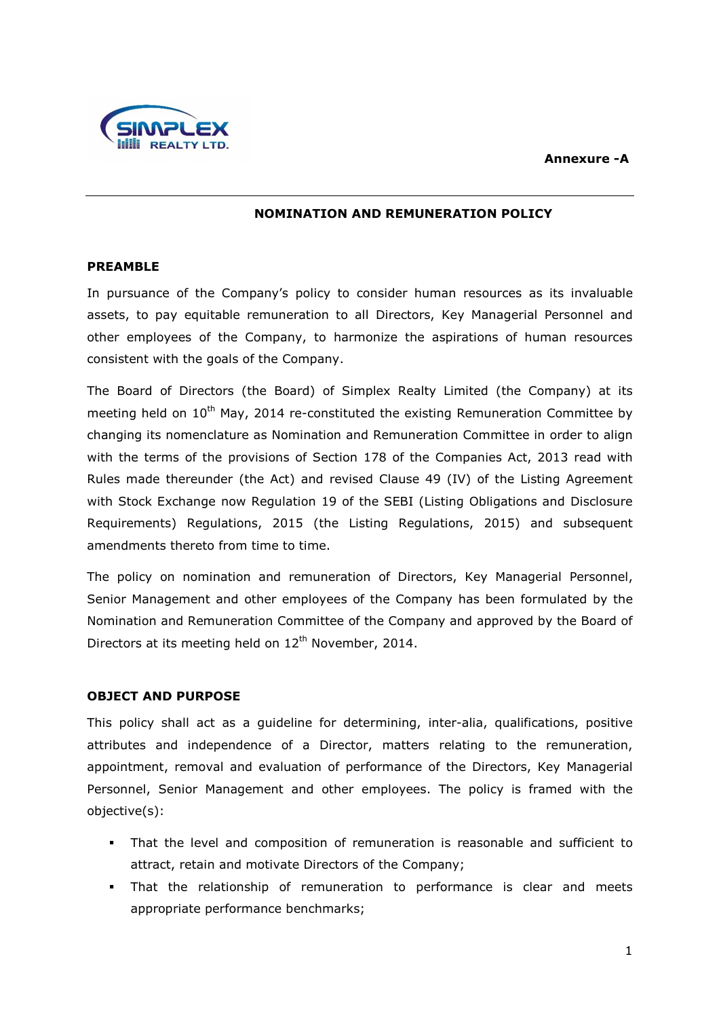#### **Annexure -A**



### **NOMINATION AND REMUNERATION POLICY**

### **PREAMBLE**

In pursuance of the Company's policy to consider human resources as its invaluable assets, to pay equitable remuneration to all Directors, Key Managerial Personnel and other employees of the Company, to harmonize the aspirations of human resources consistent with the goals of the Company.

The Board of Directors (the Board) of Simplex Realty Limited (the Company) at its meeting held on  $10<sup>th</sup>$  May, 2014 re-constituted the existing Remuneration Committee by changing its nomenclature as Nomination and Remuneration Committee in order to align with the terms of the provisions of Section 178 of the Companies Act, 2013 read with Rules made thereunder (the Act) and revised Clause 49 (IV) of the Listing Agreement with Stock Exchange now Regulation 19 of the SEBI (Listing Obligations and Disclosure Requirements) Regulations, 2015 (the Listing Regulations, 2015) and subsequent amendments thereto from time to time.

The policy on nomination and remuneration of Directors, Key Managerial Personnel, Senior Management and other employees of the Company has been formulated by the Nomination and Remuneration Committee of the Company and approved by the Board of Directors at its meeting held on 12<sup>th</sup> November, 2014.

## **OBJECT AND PURPOSE**

This policy shall act as a guideline for determining, inter-alia, qualifications, positive attributes and independence of a Director, matters relating to the remuneration, appointment, removal and evaluation of performance of the Directors, Key Managerial Personnel, Senior Management and other employees. The policy is framed with the objective(s):

- That the level and composition of remuneration is reasonable and sufficient to attract, retain and motivate Directors of the Company;
- That the relationship of remuneration to performance is clear and meets appropriate performance benchmarks;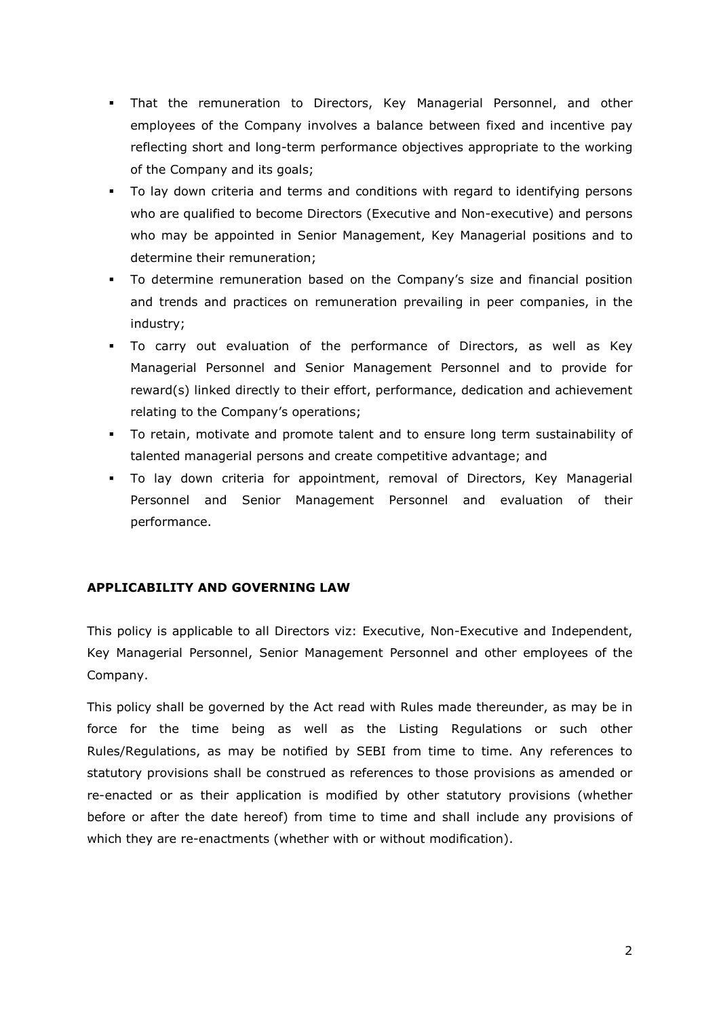- That the remuneration to Directors, Key Managerial Personnel, and other employees of the Company involves a balance between fixed and incentive pay reflecting short and long-term performance objectives appropriate to the working of the Company and its goals;
- To lay down criteria and terms and conditions with regard to identifying persons who are qualified to become Directors (Executive and Non-executive) and persons who may be appointed in Senior Management, Key Managerial positions and to determine their remuneration;
- To determine remuneration based on the Company's size and financial position and trends and practices on remuneration prevailing in peer companies, in the industry;
- To carry out evaluation of the performance of Directors, as well as Key Managerial Personnel and Senior Management Personnel and to provide for reward(s) linked directly to their effort, performance, dedication and achievement relating to the Company's operations;
- To retain, motivate and promote talent and to ensure long term sustainability of talented managerial persons and create competitive advantage; and
- To lay down criteria for appointment, removal of Directors, Key Managerial Personnel and Senior Management Personnel and evaluation of their performance.

# **APPLICABILITY AND GOVERNING LAW**

This policy is applicable to all Directors viz: Executive, Non-Executive and Independent, Key Managerial Personnel, Senior Management Personnel and other employees of the Company.

This policy shall be governed by the Act read with Rules made thereunder, as may be in force for the time being as well as the Listing Regulations or such other Rules/Regulations, as may be notified by SEBI from time to time. Any references to statutory provisions shall be construed as references to those provisions as amended or re-enacted or as their application is modified by other statutory provisions (whether before or after the date hereof) from time to time and shall include any provisions of which they are re-enactments (whether with or without modification).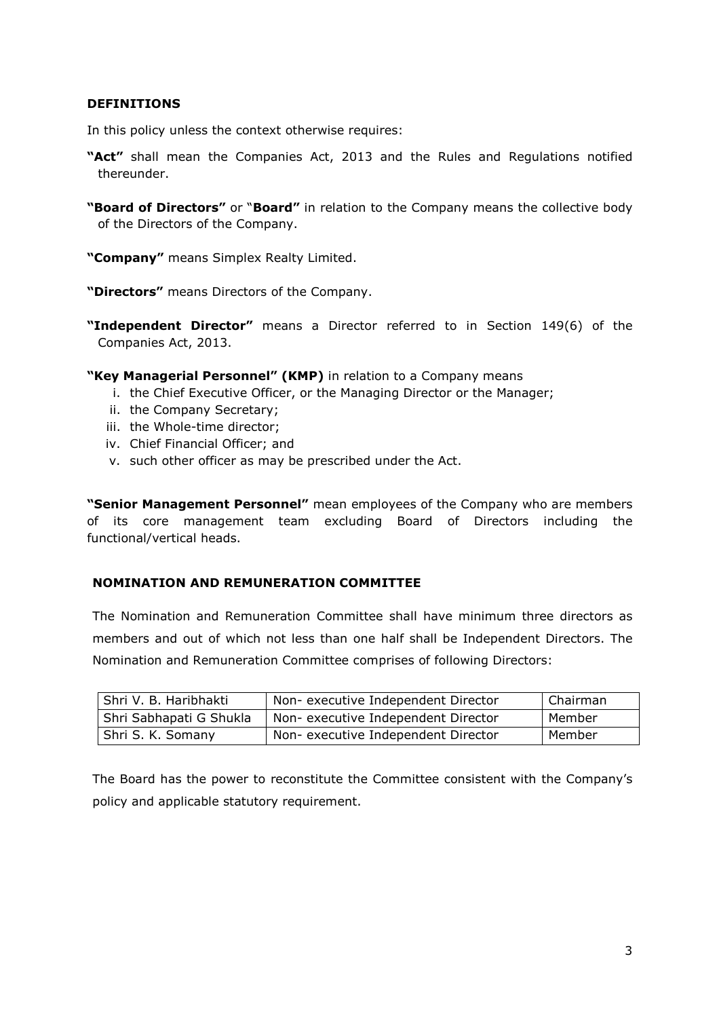## **DEFINITIONS**

In this policy unless the context otherwise requires:

- **"Act"** shall mean the Companies Act, 2013 and the Rules and Regulations notified thereunder.
- **"Board of Directors"** or "**Board"** in relation to the Company means the collective body of the Directors of the Company.

**"Company"** means Simplex Realty Limited.

**"Directors"** means Directors of the Company.

**"Independent Director"** means a Director referred to in Section 149(6) of the Companies Act, 2013.

- **"Key Managerial Personnel" (KMP)** in relation to a Company means
	- i. the Chief Executive Officer, or the Managing Director or the Manager;
	- ii. the Company Secretary;
	- iii. the Whole-time director;
	- iv. Chief Financial Officer; and
	- v. such other officer as may be prescribed under the Act.

**"Senior Management Personnel"** mean employees of the Company who are members of its core management team excluding Board of Directors including the functional/vertical heads.

### **NOMINATION AND REMUNERATION COMMITTEE**

The Nomination and Remuneration Committee shall have minimum three directors as members and out of which not less than one half shall be Independent Directors. The Nomination and Remuneration Committee comprises of following Directors:

| Shri V. B. Haribhakti   | Non- executive Independent Director | l Chairman |
|-------------------------|-------------------------------------|------------|
| Shri Sabhapati G Shukla | Non- executive Independent Director | Member     |
| Shri S. K. Somany       | Non- executive Independent Director | Member     |

The Board has the power to reconstitute the Committee consistent with the Company's policy and applicable statutory requirement.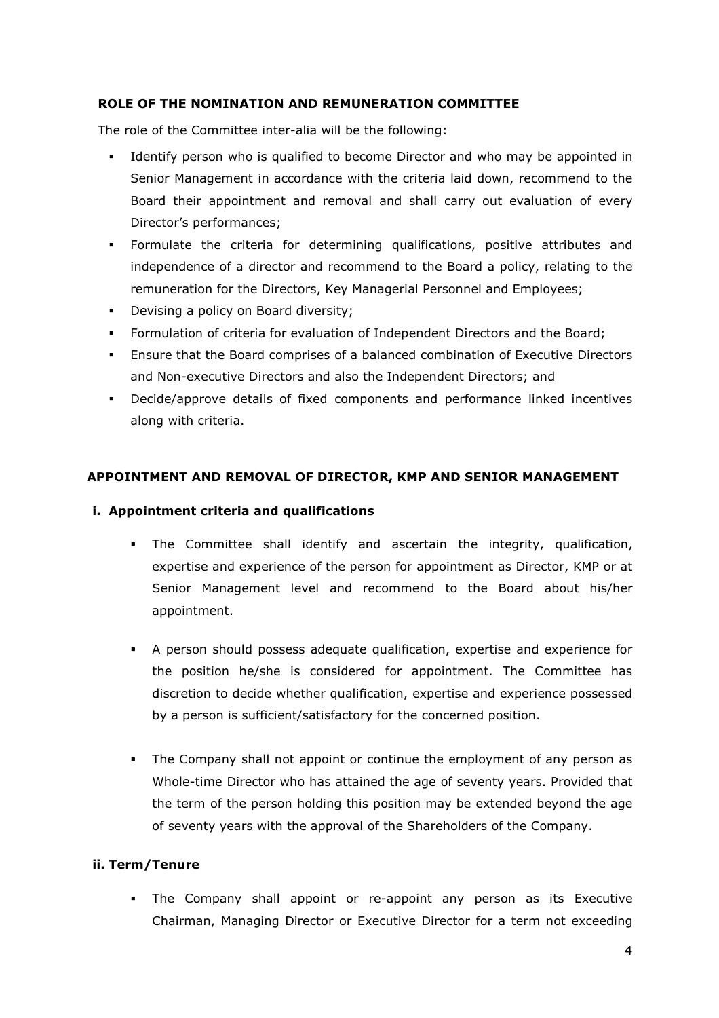## **ROLE OF THE NOMINATION AND REMUNERATION COMMITTEE**

The role of the Committee inter-alia will be the following:

- Identify person who is qualified to become Director and who may be appointed in Senior Management in accordance with the criteria laid down, recommend to the Board their appointment and removal and shall carry out evaluation of every Director's performances;
- Formulate the criteria for determining qualifications, positive attributes and independence of a director and recommend to the Board a policy, relating to the remuneration for the Directors, Key Managerial Personnel and Employees;
- Devising a policy on Board diversity;
- Formulation of criteria for evaluation of Independent Directors and the Board;
- Ensure that the Board comprises of a balanced combination of Executive Directors and Non-executive Directors and also the Independent Directors; and
- Decide/approve details of fixed components and performance linked incentives along with criteria.

## **APPOINTMENT AND REMOVAL OF DIRECTOR, KMP AND SENIOR MANAGEMENT**

## **i. Appointment criteria and qualifications**

- The Committee shall identify and ascertain the integrity, qualification, expertise and experience of the person for appointment as Director, KMP or at Senior Management level and recommend to the Board about his/her appointment.
- A person should possess adequate qualification, expertise and experience for the position he/she is considered for appointment. The Committee has discretion to decide whether qualification, expertise and experience possessed by a person is sufficient/satisfactory for the concerned position.
- The Company shall not appoint or continue the employment of any person as Whole-time Director who has attained the age of seventy years. Provided that the term of the person holding this position may be extended beyond the age of seventy years with the approval of the Shareholders of the Company.

## **ii. Term/Tenure**

 The Company shall appoint or re-appoint any person as its Executive Chairman, Managing Director or Executive Director for a term not exceeding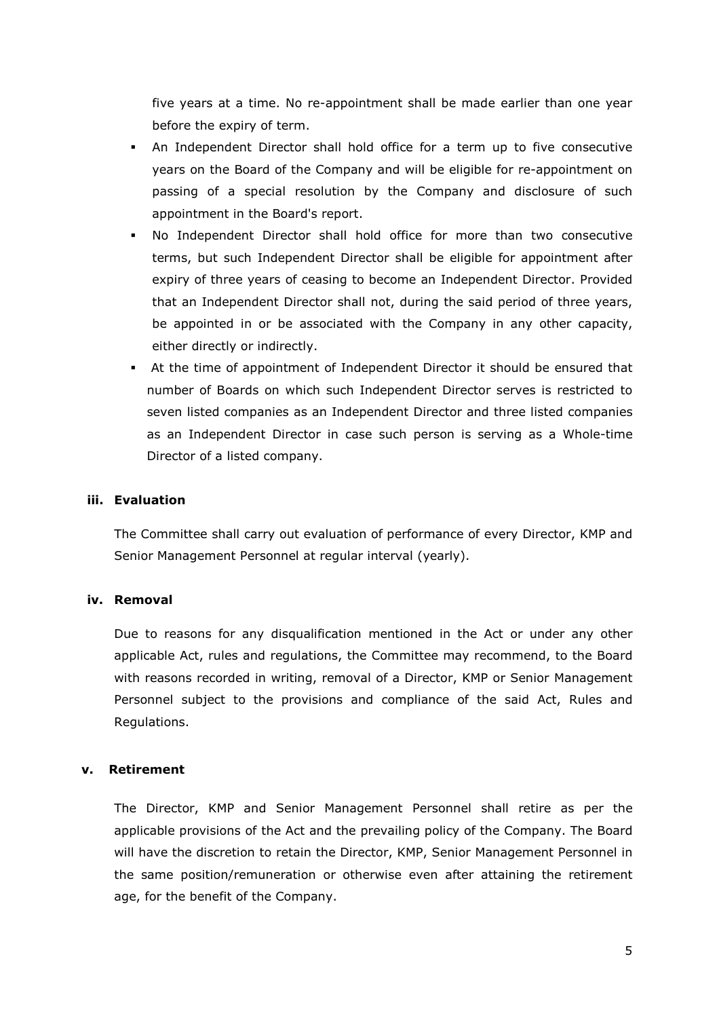five years at a time. No re-appointment shall be made earlier than one year before the expiry of term.

- An Independent Director shall hold office for a term up to five consecutive years on the Board of the Company and will be eligible for re-appointment on passing of a special resolution by the Company and disclosure of such appointment in the Board's report.
- No Independent Director shall hold office for more than two consecutive terms, but such Independent Director shall be eligible for appointment after expiry of three years of ceasing to become an Independent Director. Provided that an Independent Director shall not, during the said period of three years, be appointed in or be associated with the Company in any other capacity, either directly or indirectly.
- At the time of appointment of Independent Director it should be ensured that number of Boards on which such Independent Director serves is restricted to seven listed companies as an Independent Director and three listed companies as an Independent Director in case such person is serving as a Whole-time Director of a listed company.

### **iii. Evaluation**

The Committee shall carry out evaluation of performance of every Director, KMP and Senior Management Personnel at regular interval (yearly).

#### **iv. Removal**

Due to reasons for any disqualification mentioned in the Act or under any other applicable Act, rules and regulations, the Committee may recommend, to the Board with reasons recorded in writing, removal of a Director, KMP or Senior Management Personnel subject to the provisions and compliance of the said Act, Rules and Regulations.

#### **v. Retirement**

The Director, KMP and Senior Management Personnel shall retire as per the applicable provisions of the Act and the prevailing policy of the Company. The Board will have the discretion to retain the Director, KMP, Senior Management Personnel in the same position/remuneration or otherwise even after attaining the retirement age, for the benefit of the Company.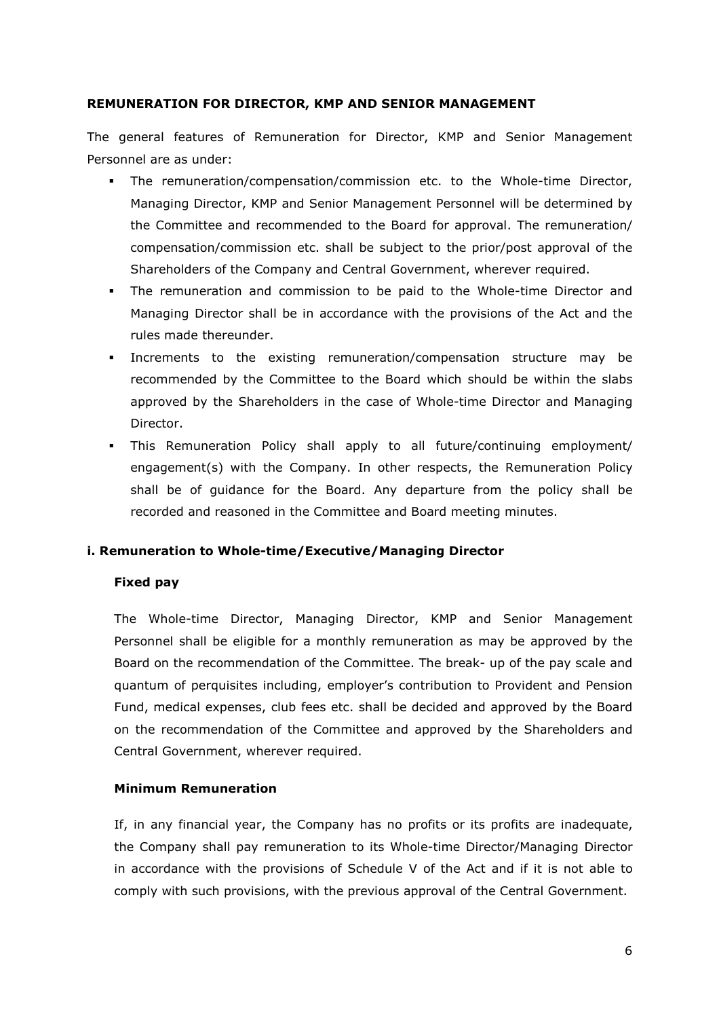## **REMUNERATION FOR DIRECTOR, KMP AND SENIOR MANAGEMENT**

The general features of Remuneration for Director, KMP and Senior Management Personnel are as under:

- The remuneration/compensation/commission etc. to the Whole-time Director, Managing Director, KMP and Senior Management Personnel will be determined by the Committee and recommended to the Board for approval. The remuneration/ compensation/commission etc. shall be subject to the prior/post approval of the Shareholders of the Company and Central Government, wherever required.
- The remuneration and commission to be paid to the Whole-time Director and Managing Director shall be in accordance with the provisions of the Act and the rules made thereunder.
- Increments to the existing remuneration/compensation structure may be recommended by the Committee to the Board which should be within the slabs approved by the Shareholders in the case of Whole-time Director and Managing Director.
- This Remuneration Policy shall apply to all future/continuing employment/ engagement(s) with the Company. In other respects, the Remuneration Policy shall be of guidance for the Board. Any departure from the policy shall be recorded and reasoned in the Committee and Board meeting minutes.

## **i. Remuneration to Whole-time/Executive/Managing Director**

### **Fixed pay**

The Whole-time Director, Managing Director, KMP and Senior Management Personnel shall be eligible for a monthly remuneration as may be approved by the Board on the recommendation of the Committee. The break- up of the pay scale and quantum of perquisites including, employer's contribution to Provident and Pension Fund, medical expenses, club fees etc. shall be decided and approved by the Board on the recommendation of the Committee and approved by the Shareholders and Central Government, wherever required.

### **Minimum Remuneration**

If, in any financial year, the Company has no profits or its profits are inadequate, the Company shall pay remuneration to its Whole-time Director/Managing Director in accordance with the provisions of Schedule V of the Act and if it is not able to comply with such provisions, with the previous approval of the Central Government.